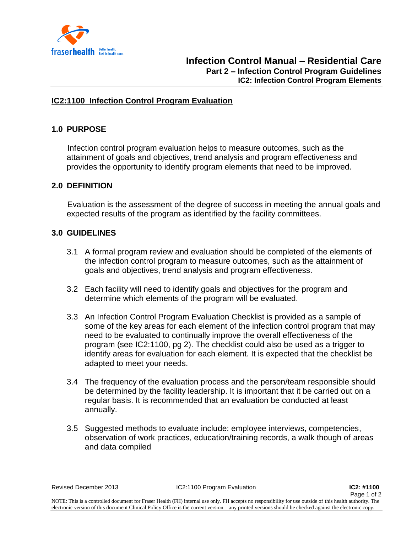

### **IC2:1100 Infection Control Program Evaluation**

## **1.0 PURPOSE**

 Infection control program evaluation helps to measure outcomes, such as the attainment of goals and objectives, trend analysis and program effectiveness and provides the opportunity to identify program elements that need to be improved.

### **2.0 DEFINITION**

 Evaluation is the assessment of the degree of success in meeting the annual goals and expected results of the program as identified by the facility committees.

#### **3.0 GUIDELINES**

- 3.1 A formal program review and evaluation should be completed of the elements of the infection control program to measure outcomes, such as the attainment of goals and objectives, trend analysis and program effectiveness.
- 3.2 Each facility will need to identify goals and objectives for the program and determine which elements of the program will be evaluated.
- 3.3 An Infection Control Program Evaluation Checklist is provided as a sample of some of the key areas for each element of the infection control program that may need to be evaluated to continually improve the overall effectiveness of the program (see IC2:1100, pg 2). The checklist could also be used as a trigger to identify areas for evaluation for each element. It is expected that the checklist be adapted to meet your needs.
- 3.4 The frequency of the evaluation process and the person/team responsible should be determined by the facility leadership. It is important that it be carried out on a regular basis. It is recommended that an evaluation be conducted at least annually.
- 3.5 Suggested methods to evaluate include: employee interviews, competencies, observation of work practices, education/training records, a walk though of areas and data compiled

NOTE: This is a controlled document for Fraser Health (FH) internal use only. FH accepts no responsibility for use outside of this health authority. The electronic version of this document Clinical Policy Office is the current version – any printed versions should be checked against the electronic copy.